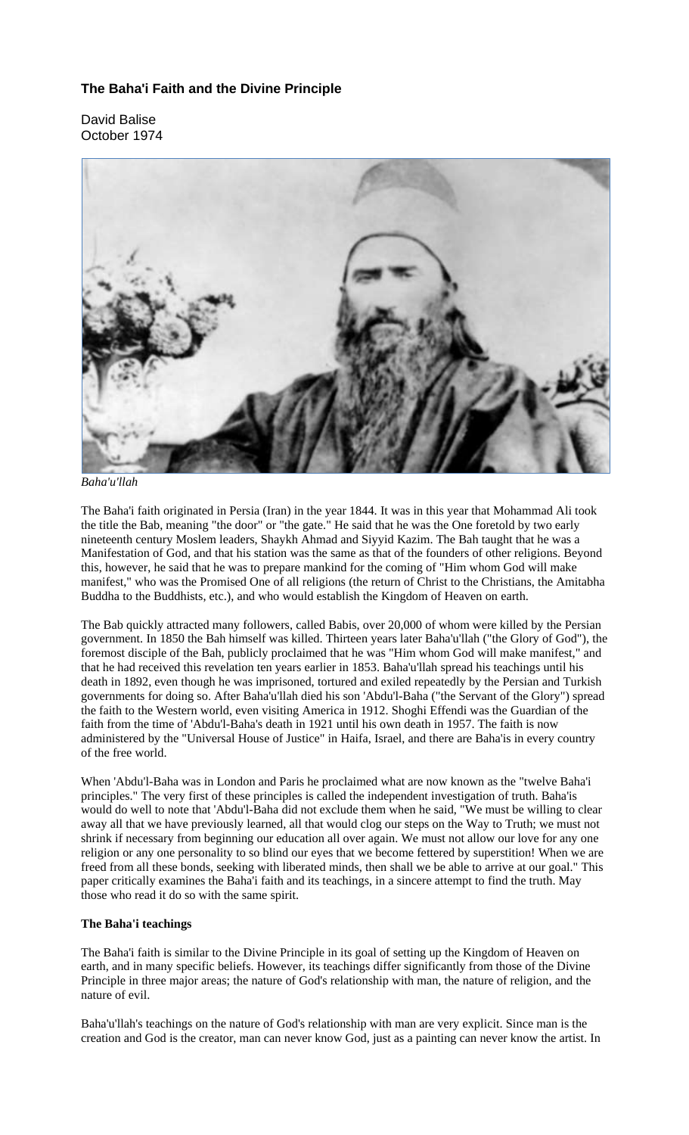# **The Baha'i Faith and the Divine Principle**

David Balise October 1974



*Baha'u'llah* 

The Baha'i faith originated in Persia (Iran) in the year 1844. It was in this year that Mohammad Ali took the title the Bab, meaning "the door" or "the gate." He said that he was the One foretold by two early nineteenth century Moslem leaders, Shaykh Ahmad and Siyyid Kazim. The Bah taught that he was a Manifestation of God, and that his station was the same as that of the founders of other religions. Beyond this, however, he said that he was to prepare mankind for the coming of "Him whom God will make manifest," who was the Promised One of all religions (the return of Christ to the Christians, the Amitabha Buddha to the Buddhists, etc.), and who would establish the Kingdom of Heaven on earth.

The Bab quickly attracted many followers, called Babis, over 20,000 of whom were killed by the Persian government. In 1850 the Bah himself was killed. Thirteen years later Baha'u'llah ("the Glory of God"), the foremost disciple of the Bah, publicly proclaimed that he was "Him whom God will make manifest," and that he had received this revelation ten years earlier in 1853. Baha'u'llah spread his teachings until his death in 1892, even though he was imprisoned, tortured and exiled repeatedly by the Persian and Turkish governments for doing so. After Baha'u'llah died his son 'Abdu'l-Baha ("the Servant of the Glory") spread the faith to the Western world, even visiting America in 1912. Shoghi Effendi was the Guardian of the faith from the time of 'Abdu'l-Baha's death in 1921 until his own death in 1957. The faith is now administered by the "Universal House of Justice" in Haifa, Israel, and there are Baha'is in every country of the free world.

When 'Abdu'l-Baha was in London and Paris he proclaimed what are now known as the "twelve Baha'i principles." The very first of these principles is called the independent investigation of truth. Baha'is would do well to note that 'Abdu'l-Baha did not exclude them when he said, "We must be willing to clear away all that we have previously learned, all that would clog our steps on the Way to Truth; we must not shrink if necessary from beginning our education all over again. We must not allow our love for any one religion or any one personality to so blind our eyes that we become fettered by superstition! When we are freed from all these bonds, seeking with liberated minds, then shall we be able to arrive at our goal." This paper critically examines the Baha'i faith and its teachings, in a sincere attempt to find the truth. May those who read it do so with the same spirit.

## **The Baha'i teachings**

The Baha'i faith is similar to the Divine Principle in its goal of setting up the Kingdom of Heaven on earth, and in many specific beliefs. However, its teachings differ significantly from those of the Divine Principle in three major areas; the nature of God's relationship with man, the nature of religion, and the nature of evil.

Baha'u'llah's teachings on the nature of God's relationship with man are very explicit. Since man is the creation and God is the creator, man can never know God, just as a painting can never know the artist. In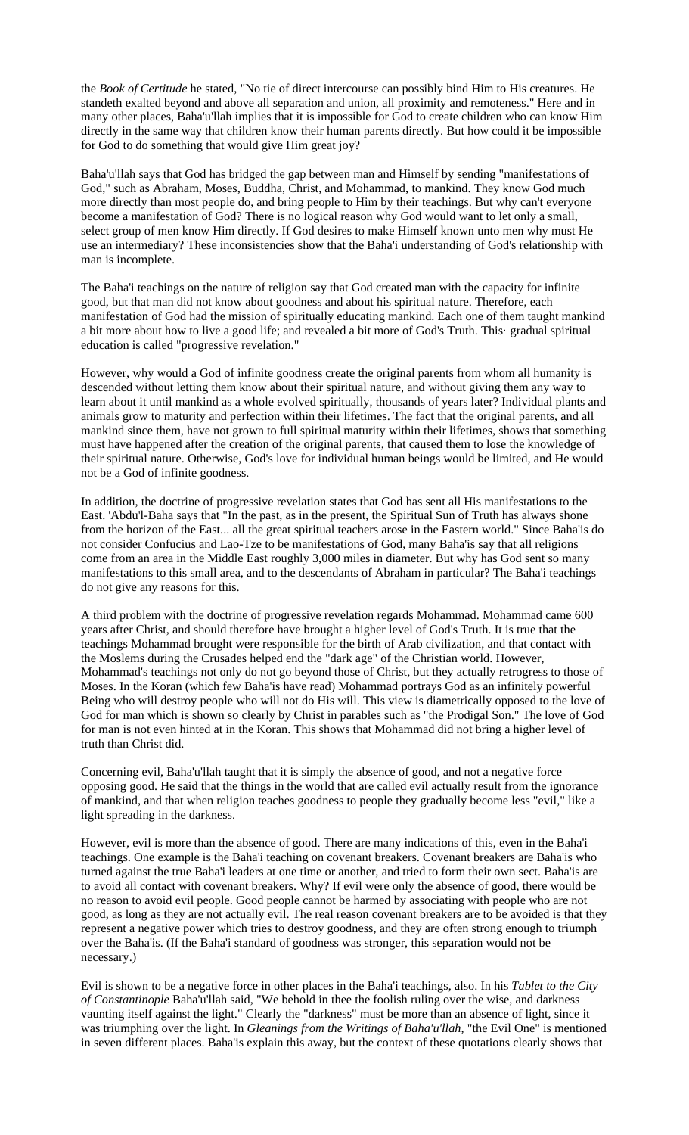the *Book of Certitude* he stated, "No tie of direct intercourse can possibly bind Him to His creatures. He standeth exalted beyond and above all separation and union, all proximity and remoteness." Here and in many other places, Baha'u'llah implies that it is impossible for God to create children who can know Him directly in the same way that children know their human parents directly. But how could it be impossible for God to do something that would give Him great joy?

Baha'u'llah says that God has bridged the gap between man and Himself by sending "manifestations of God," such as Abraham, Moses, Buddha, Christ, and Mohammad, to mankind. They know God much more directly than most people do, and bring people to Him by their teachings. But why can't everyone become a manifestation of God? There is no logical reason why God would want to let only a small, select group of men know Him directly. If God desires to make Himself known unto men why must He use an intermediary? These inconsistencies show that the Baha'i understanding of God's relationship with man is incomplete.

The Baha'i teachings on the nature of religion say that God created man with the capacity for infinite good, but that man did not know about goodness and about his spiritual nature. Therefore, each manifestation of God had the mission of spiritually educating mankind. Each one of them taught mankind a bit more about how to live a good life; and revealed a bit more of God's Truth. This· gradual spiritual education is called "progressive revelation."

However, why would a God of infinite goodness create the original parents from whom all humanity is descended without letting them know about their spiritual nature, and without giving them any way to learn about it until mankind as a whole evolved spiritually, thousands of years later? Individual plants and animals grow to maturity and perfection within their lifetimes. The fact that the original parents, and all mankind since them, have not grown to full spiritual maturity within their lifetimes, shows that something must have happened after the creation of the original parents, that caused them to lose the knowledge of their spiritual nature. Otherwise, God's love for individual human beings would be limited, and He would not be a God of infinite goodness.

In addition, the doctrine of progressive revelation states that God has sent all His manifestations to the East. 'Abdu'l-Baha says that "In the past, as in the present, the Spiritual Sun of Truth has always shone from the horizon of the East... all the great spiritual teachers arose in the Eastern world." Since Baha'is do not consider Confucius and Lao-Tze to be manifestations of God, many Baha'is say that all religions come from an area in the Middle East roughly 3,000 miles in diameter. But why has God sent so many manifestations to this small area, and to the descendants of Abraham in particular? The Baha'i teachings do not give any reasons for this.

A third problem with the doctrine of progressive revelation regards Mohammad. Mohammad came 600 years after Christ, and should therefore have brought a higher level of God's Truth. It is true that the teachings Mohammad brought were responsible for the birth of Arab civilization, and that contact with the Moslems during the Crusades helped end the "dark age" of the Christian world. However, Mohammad's teachings not only do not go beyond those of Christ, but they actually retrogress to those of Moses. In the Koran (which few Baha'is have read) Mohammad portrays God as an infinitely powerful Being who will destroy people who will not do His will. This view is diametrically opposed to the love of God for man which is shown so clearly by Christ in parables such as "the Prodigal Son." The love of God for man is not even hinted at in the Koran. This shows that Mohammad did not bring a higher level of truth than Christ did.

Concerning evil, Baha'u'llah taught that it is simply the absence of good, and not a negative force opposing good. He said that the things in the world that are called evil actually result from the ignorance of mankind, and that when religion teaches goodness to people they gradually become less "evil," like a light spreading in the darkness.

However, evil is more than the absence of good. There are many indications of this, even in the Baha'i teachings. One example is the Baha'i teaching on covenant breakers. Covenant breakers are Baha'is who turned against the true Baha'i leaders at one time or another, and tried to form their own sect. Baha'is are to avoid all contact with covenant breakers. Why? If evil were only the absence of good, there would be no reason to avoid evil people. Good people cannot be harmed by associating with people who are not good, as long as they are not actually evil. The real reason covenant breakers are to be avoided is that they represent a negative power which tries to destroy goodness, and they are often strong enough to triumph over the Baha'is. (If the Baha'i standard of goodness was stronger, this separation would not be necessary.)

Evil is shown to be a negative force in other places in the Baha'i teachings, also. In his *Tablet to the City of Constantinople* Baha'u'llah said, "We behold in thee the foolish ruling over the wise, and darkness vaunting itself against the light." Clearly the "darkness" must be more than an absence of light, since it was triumphing over the light. In *Gleanings from the Writings of Baha'u'llah*, "the Evil One" is mentioned in seven different places. Baha'is explain this away, but the context of these quotations clearly shows that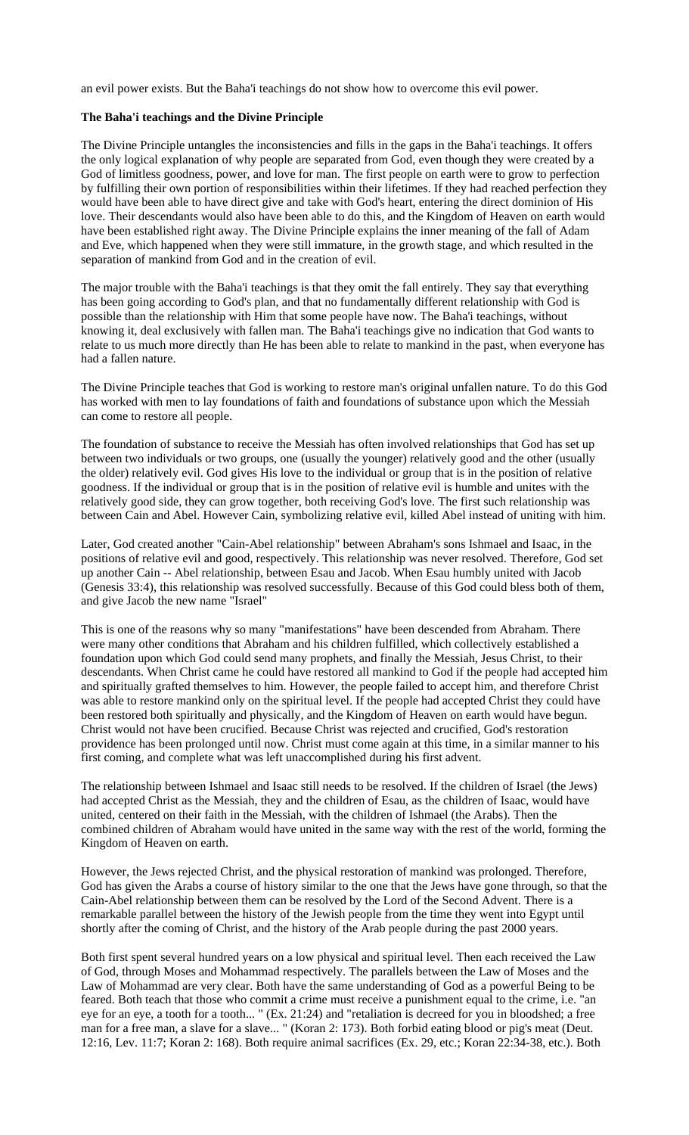an evil power exists. But the Baha'i teachings do not show how to overcome this evil power.

#### **The Baha'i teachings and the Divine Principle**

The Divine Principle untangles the inconsistencies and fills in the gaps in the Baha'i teachings. It offers the only logical explanation of why people are separated from God, even though they were created by a God of limitless goodness, power, and love for man. The first people on earth were to grow to perfection by fulfilling their own portion of responsibilities within their lifetimes. If they had reached perfection they would have been able to have direct give and take with God's heart, entering the direct dominion of His love. Their descendants would also have been able to do this, and the Kingdom of Heaven on earth would have been established right away. The Divine Principle explains the inner meaning of the fall of Adam and Eve, which happened when they were still immature, in the growth stage, and which resulted in the separation of mankind from God and in the creation of evil.

The major trouble with the Baha'i teachings is that they omit the fall entirely. They say that everything has been going according to God's plan, and that no fundamentally different relationship with God is possible than the relationship with Him that some people have now. The Baha'i teachings, without knowing it, deal exclusively with fallen man. The Baha'i teachings give no indication that God wants to relate to us much more directly than He has been able to relate to mankind in the past, when everyone has had a fallen nature.

The Divine Principle teaches that God is working to restore man's original unfallen nature. To do this God has worked with men to lay foundations of faith and foundations of substance upon which the Messiah can come to restore all people.

The foundation of substance to receive the Messiah has often involved relationships that God has set up between two individuals or two groups, one (usually the younger) relatively good and the other (usually the older) relatively evil. God gives His love to the individual or group that is in the position of relative goodness. If the individual or group that is in the position of relative evil is humble and unites with the relatively good side, they can grow together, both receiving God's love. The first such relationship was between Cain and Abel. However Cain, symbolizing relative evil, killed Abel instead of uniting with him.

Later, God created another "Cain-Abel relationship" between Abraham's sons Ishmael and Isaac, in the positions of relative evil and good, respectively. This relationship was never resolved. Therefore, God set up another Cain -- Abel relationship, between Esau and Jacob. When Esau humbly united with Jacob (Genesis 33:4), this relationship was resolved successfully. Because of this God could bless both of them, and give Jacob the new name "Israel"

This is one of the reasons why so many "manifestations" have been descended from Abraham. There were many other conditions that Abraham and his children fulfilled, which collectively established a foundation upon which God could send many prophets, and finally the Messiah, Jesus Christ, to their descendants. When Christ came he could have restored all mankind to God if the people had accepted him and spiritually grafted themselves to him. However, the people failed to accept him, and therefore Christ was able to restore mankind only on the spiritual level. If the people had accepted Christ they could have been restored both spiritually and physically, and the Kingdom of Heaven on earth would have begun. Christ would not have been crucified. Because Christ was rejected and crucified, God's restoration providence has been prolonged until now. Christ must come again at this time, in a similar manner to his first coming, and complete what was left unaccomplished during his first advent.

The relationship between Ishmael and Isaac still needs to be resolved. If the children of Israel (the Jews) had accepted Christ as the Messiah, they and the children of Esau, as the children of Isaac, would have united, centered on their faith in the Messiah, with the children of Ishmael (the Arabs). Then the combined children of Abraham would have united in the same way with the rest of the world, forming the Kingdom of Heaven on earth.

However, the Jews rejected Christ, and the physical restoration of mankind was prolonged. Therefore, God has given the Arabs a course of history similar to the one that the Jews have gone through, so that the Cain-Abel relationship between them can be resolved by the Lord of the Second Advent. There is a remarkable parallel between the history of the Jewish people from the time they went into Egypt until shortly after the coming of Christ, and the history of the Arab people during the past 2000 years.

Both first spent several hundred years on a low physical and spiritual level. Then each received the Law of God, through Moses and Mohammad respectively. The parallels between the Law of Moses and the Law of Mohammad are very clear. Both have the same understanding of God as a powerful Being to be feared. Both teach that those who commit a crime must receive a punishment equal to the crime, i.e. "an eye for an eye, a tooth for a tooth... " (Ex. 21:24) and "retaliation is decreed for you in bloodshed; a free man for a free man, a slave for a slave... " (Koran 2: 173). Both forbid eating blood or pig's meat (Deut. 12:16, Lev. 11:7; Koran 2: 168). Both require animal sacrifices (Ex. 29, etc.; Koran 22:34-38, etc.). Both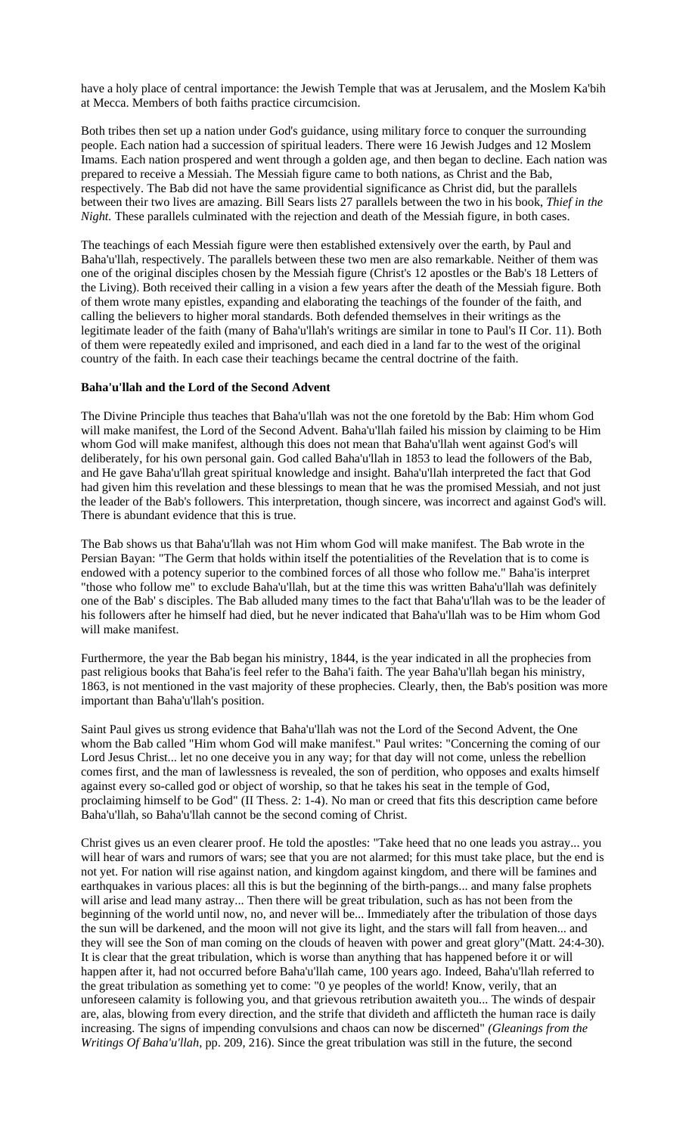have a holy place of central importance: the Jewish Temple that was at Jerusalem, and the Moslem Ka'bih at Mecca. Members of both faiths practice circumcision.

Both tribes then set up a nation under God's guidance, using military force to conquer the surrounding people. Each nation had a succession of spiritual leaders. There were 16 Jewish Judges and 12 Moslem Imams. Each nation prospered and went through a golden age, and then began to decline. Each nation was prepared to receive a Messiah. The Messiah figure came to both nations, as Christ and the Bab, respectively. The Bab did not have the same providential significance as Christ did, but the parallels between their two lives are amazing. Bill Sears lists 27 parallels between the two in his book, *Thief in the Night.* These parallels culminated with the rejection and death of the Messiah figure, in both cases.

The teachings of each Messiah figure were then established extensively over the earth, by Paul and Baha'u'llah, respectively. The parallels between these two men are also remarkable. Neither of them was one of the original disciples chosen by the Messiah figure (Christ's 12 apostles or the Bab's 18 Letters of the Living). Both received their calling in a vision a few years after the death of the Messiah figure. Both of them wrote many epistles, expanding and elaborating the teachings of the founder of the faith, and calling the believers to higher moral standards. Both defended themselves in their writings as the legitimate leader of the faith (many of Baha'u'llah's writings are similar in tone to Paul's II Cor. 11). Both of them were repeatedly exiled and imprisoned, and each died in a land far to the west of the original country of the faith. In each case their teachings became the central doctrine of the faith.

#### **Baha'u'llah and the Lord of the Second Advent**

The Divine Principle thus teaches that Baha'u'llah was not the one foretold by the Bab: Him whom God will make manifest, the Lord of the Second Advent. Baha'u'llah failed his mission by claiming to be Him whom God will make manifest, although this does not mean that Baha'u'llah went against God's will deliberately, for his own personal gain. God called Baha'u'llah in 1853 to lead the followers of the Bab, and He gave Baha'u'llah great spiritual knowledge and insight. Baha'u'llah interpreted the fact that God had given him this revelation and these blessings to mean that he was the promised Messiah, and not just the leader of the Bab's followers. This interpretation, though sincere, was incorrect and against God's will. There is abundant evidence that this is true.

The Bab shows us that Baha'u'llah was not Him whom God will make manifest. The Bab wrote in the Persian Bayan: "The Germ that holds within itself the potentialities of the Revelation that is to come is endowed with a potency superior to the combined forces of all those who follow me." Baha'is interpret "those who follow me" to exclude Baha'u'llah, but at the time this was written Baha'u'llah was definitely one of the Bab' s disciples. The Bab alluded many times to the fact that Baha'u'llah was to be the leader of his followers after he himself had died, but he never indicated that Baha'u'llah was to be Him whom God will make manifest.

Furthermore, the year the Bab began his ministry, 1844, is the year indicated in all the prophecies from past religious books that Baha'is feel refer to the Baha'i faith. The year Baha'u'llah began his ministry, 1863, is not mentioned in the vast majority of these prophecies. Clearly, then, the Bab's position was more important than Baha'u'llah's position.

Saint Paul gives us strong evidence that Baha'u'llah was not the Lord of the Second Advent, the One whom the Bab called "Him whom God will make manifest." Paul writes: "Concerning the coming of our Lord Jesus Christ... let no one deceive you in any way; for that day will not come, unless the rebellion comes first, and the man of lawlessness is revealed, the son of perdition, who opposes and exalts himself against every so-called god or object of worship, so that he takes his seat in the temple of God, proclaiming himself to be God" (II Thess. 2: 1-4). No man or creed that fits this description came before Baha'u'llah, so Baha'u'llah cannot be the second coming of Christ.

Christ gives us an even clearer proof. He told the apostles: "Take heed that no one leads you astray... you will hear of wars and rumors of wars; see that you are not alarmed; for this must take place, but the end is not yet. For nation will rise against nation, and kingdom against kingdom, and there will be famines and earthquakes in various places: all this is but the beginning of the birth-pangs... and many false prophets will arise and lead many astray... Then there will be great tribulation, such as has not been from the beginning of the world until now, no, and never will be... Immediately after the tribulation of those days the sun will be darkened, and the moon will not give its light, and the stars will fall from heaven... and they will see the Son of man coming on the clouds of heaven with power and great glory"(Matt. 24:4-30). It is clear that the great tribulation, which is worse than anything that has happened before it or will happen after it, had not occurred before Baha'u'llah came, 100 years ago. Indeed, Baha'u'llah referred to the great tribulation as something yet to come: "0 ye peoples of the world! Know, verily, that an unforeseen calamity is following you, and that grievous retribution awaiteth you... The winds of despair are, alas, blowing from every direction, and the strife that divideth and afflicteth the human race is daily increasing. The signs of impending convulsions and chaos can now be discerned" *(Gleanings from the Writings Of Baha'u'llah,* pp. 209, 216). Since the great tribulation was still in the future, the second